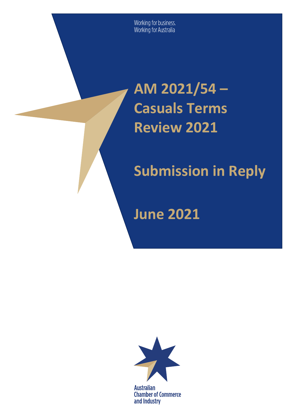Working for business.<br>Working for Australia

# **AM 2021/54 – Casuals Terms Review 2021**

# **Submission in Reply**

**June 2021** 



**Australian Chamber of Commerce** and Industry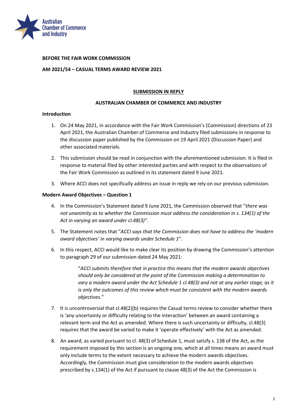

#### **BEFORE THE FAIR WORK COMMISSION**

#### **AM 2021/54 – CASUAL TERMS AWARD REVIEW 2021**

#### **SUBMISSION IN REPLY**

#### **AUSTRALIAN CHAMBER OF COMMERCE AND INDUSTRY**

#### **Introduction**

- 1. On 24 May 2021, in accordance with the Fair Work Commission's (Commission) directions of 23 April 2021, the Australian Chamber of Commerce and Industry filed submissions in response to the discussion paper published by the Commission on 19 April 2021 (Discussion Paper) and other associated materials.
- 2. This submission should be read in conjunction with the aforementioned submission. It is filed in response to material filed by other interested parties and with respect to the observations of the Fair Work Commission as outlined in its statement dated 9 June 2021.
- 3. Where ACCI does not specifically address an issue in reply we rely on our previous submission.

#### **Modern Award Objectives – Question 1**

- 4. In the Commission's Statement dated 9 June 2021, the Commission observed that "*there was not unanimity as to whether the Commission must address the consideration in s. 134(1) of the Act in varying an award under cl.48(3)".*
- 5. The Statement notes that "*ACCI says that the Commission does not have to address the 'modern award objectives' in varying awards under Schedule 1*".
- 6. In this respect, ACCI would like to make clear its position by drawing the Commission's attention to paragraph 29 of our submission dated 24 May 2021:

"*ACCI submits therefore that in practice this means that the modern awards objectives should only be considered at the point of the Commission making a determination to vary a modern award under the Act Schedule 1 cl.48(3) and not at any earlier stage, as it is only the outcomes of this review which must be consistent with the modern awards objectives*."

- 7. It is uncontroversial that cl.48(2)(b) requires the Casual terms review to consider whether there is 'any uncertainty or difficulty relating to the interaction' between an award containing a relevant term and the Act as amended. Where there is such uncertainty or difficulty, cl.48(3) requires that the award be varied to make it 'operate effectively' with the Act as amended.
- 8. An award, as varied pursuant to cl. 48(3) of Schedule 1, must satisfy s. 138 of the Act, as the requirement imposed by this section is an ongoing one, which at all times means an award must only include terms to the extent necessary to achieve the modern awards objectives. Accordingly, the Commission must give consideration to the modern awards objectives prescribed by s.134(1) of the Act if pursuant to clause 48(3) of the Act the Commission is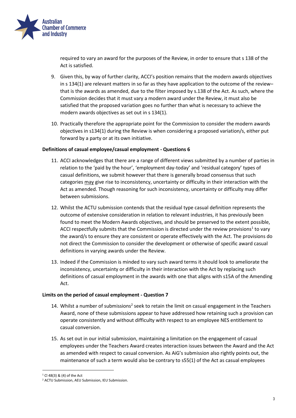

required to vary an award for the purposes of the Review, in order to ensure that s 138 of the Act is satisfied.

- 9. Given this, by way of further clarity, ACCI's position remains that the modern awards objectives in s 134(1) are relevant matters in so far as they have application to the outcome of the review– that is the awards as amended, due to the filter imposed by s.138 of the Act. As such, where the Commission decides that it must vary a modern award under the Review, it must also be satisfied that the proposed variation goes no further than what is necessary to achieve the modern awards objectives as set out in s 134(1).
- 10. Practically therefore the appropriate point for the Commission to consider the modern awards objectives in s134(1) during the Review is when considering a proposed variation/s, either put forward by a party or at its own initiative.

## **Definitions of casual employee/casual employment - Questions 6**

- 11. ACCI acknowledges that there are a range of different views submitted by a number of parties in relation to the 'paid by the hour', 'employment day-today' and 'residual category' types of casual definitions, we submit however that there is generally broad consensus that such categories may give rise to inconsistency, uncertainty or difficulty in their interaction with the Act as amended. Though reasoning for such inconsistency, uncertainty or difficulty may differ between submissions.
- 12. Whilst the ACTU submission contends that the residual type casual definition represents the outcome of extensive consideration in relation to relevant industries, it has previously been found to meet the Modern Awards objectives, and should be preserved to the extent possible, ACCI respectfully submits that the Commission is directed under the review provisions<sup>1</sup> to vary the award/s to ensure they are consistent or operate effectively with the Act. The provisions do not direct the Commission to consider the development or otherwise of specific award casual definitions in varying awards under the Review.
- 13. Indeed if the Commission is minded to vary such award terms it should look to ameliorate the inconsistency, uncertainty or difficulty in their interaction with the Act by replacing such definitions of casual employment in the awards with one that aligns with s15A of the Amending Act.

#### **Limits on the period of casual employment - Question 7**

- 14. Whilst a number of submissions<sup>2</sup> seek to retain the limit on casual engagement in the Teachers Award, none of these submissions appear to have addressed how retaining such a provision can operate consistently and without difficulty with respect to an employee NES entitlement to casual conversion.
- 15. As set out in our initial submission, maintaining a limitation on the engagement of casual employees under the Teachers Award creates interaction issues between the Award and the Act as amended with respect to casual conversion. As AiG's submission also rightly points out, the maintenance of such a term would also be contrary to s55(1) of the Act as casual employees

1

 $1$  Cl 48(3) & (4) of the Act

<sup>2</sup> ACTU Submission, AEU Submission, IEU Submission.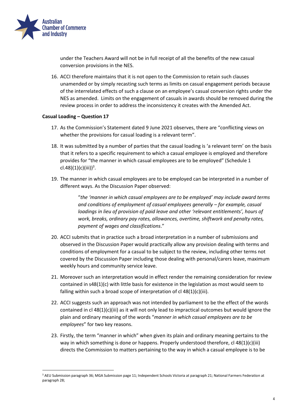

1

under the Teachers Award will not be in full receipt of all the benefits of the new casual conversion provisions in the NES.

16. ACCI therefore maintains that it is not open to the Commission to retain such clauses unamended or by simply recasting such terms as limits on casual engagement periods because of the interrelated effects of such a clause on an employee's casual conversion rights under the NES as amended. Limits on the engagement of casuals in awards should be removed during the review process in order to address the inconsistency it creates with the Amended Act.

## **Casual Loading – Question 17**

- 17. As the Commission's Statement dated 9 June 2021 observes, there are "conflicting views on whether the provisions for casual loading is a relevant term".
- 18. It was submitted by a number of parties that the casual loading is 'a relevant term' on the basis that it refers to a specific requirement to which a casual employee is employed and therefore provides for "the manner in which casual employees are to be employed" (Schedule 1  $c1.48(1)(c)(iii)^3$ .
- 19. The manner in which casual employees are to be employed can be interpreted in a number of different ways. As the Discussion Paper observed:

"*the 'manner in which casual employees are to be employed' may include award terms and conditions of employment of casual employees generally – for example, casual loadings in lieu of provision of paid leave and other 'relevant entitlements', hours of work, breaks, ordinary pay rates, allowances, overtime, shiftwork and penalty rates, payment of wages and classifications*."

- 20. ACCI submits that in practice such a broad interpretation in a number of submissions and observed in the Discussion Paper would practically allow any provision dealing with terms and conditions of employment for a casual to be subject to the review, including other terms not covered by the Discussion Paper including those dealing with personal/carers leave, maximum weekly hours and community service leave.
- 21. Moreover such an interpretation would in effect render the remaining consideration for review contained in s48(1)(c) with little basis for existence in the legislation as most would seem to falling within such a broad scope of interpretation of cl 48(1)(c)(iii).
- 22. ACCI suggests such an approach was not intended by parliament to be the effect of the words contained in cl 48(1)(c)(iii) as it will not only lead to impractical outcomes but would ignore the plain and ordinary meaning of the words "*manner in which casual employees are to be employees*" for two key reasons.
- 23. Firstly, the term "manner in which" when given its plain and ordinary meaning pertains to the way in which something is done or happens. Properly understood therefore,  $cl 48(1)(c)(iii)$ directs the Commission to matters pertaining to the way in which a casual employee is to be

<sup>3</sup> AEU Submission paragraph 36; MGA Submission page 11; Independent Schools Victoria at paragraph 21; National Farmers Federation at paragraph 28;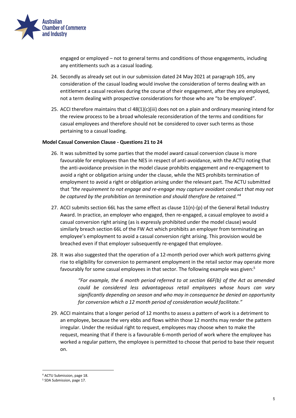

engaged or employed – not to general terms and conditions of those engagements, including any entitlements such as a casual loading.

- 24. Secondly as already set out in our submission dated 24 May 2021 at paragraph 105, any consideration of the casual loading would involve the consideration of terms dealing with an entitlement a casual receives during the course of their engagement, after they are employed, not a term dealing with prospective considerations for those who are "to be employed".
- 25. ACCI therefore maintains that cl 48(1)(c)(iii) does not on a plain and ordinary meaning intend for the review process to be a broad wholesale reconsideration of the terms and conditions for casual employees and therefore should not be considered to cover such terms as those pertaining to a casual loading.

#### **Model Casual Conversion Clause - Questions 21 to 24**

- 26. It was submitted by some parties that the model award casual conversion clause is more favourable for employees than the NES in respect of anti-avoidance, with the ACTU noting that the anti-avoidance provision in the model clause prohibits engagement and re-engagement to avoid a right or obligation arising under the clause, while the NES prohibits termination of employment to avoid a right or obligation arising under the relevant part. The ACTU submitted that *"the requirement to not engage and re-engage may capture avoidant conduct that may not be captured by the prohibition on termination and should therefore be retained."<sup>4</sup>*
- 27. ACCI submits section 66L has the same effect as clause  $11(n)$ -(p) of the General Retail Industry Award. In practice, an employer who engaged, then re-engaged, a casual employee to avoid a casual conversion right arising (as is expressly prohibited under the model clause) would similarly breach section 66L of the FW Act which prohibits an employer from terminating an employee's employment to avoid a casual conversion right arising. This provision would be breached even if that employer subsequently re-engaged that employee.
- 28. It was also suggested that the operation of a 12-month period over which work patterns giving rise to eligibility for conversion to permanent employment in the retail sector may operate more favourably for some casual employees in that sector. The following example was given:<sup>5</sup>

*"For example, the 6 month period referred to at section 66F(b) of the Act as amended could be considered less advantageous retail employees whose hours can vary significantly depending on season and who may in consequence be denied an opportunity for conversion which a 12 month period of consideration would facilitate."*

29. ACCI maintains that a longer period of 12 months to assess a pattern of work is a detriment to an employee, because the very ebbs and flows within those 12 months may render the pattern irregular. Under the residual right to request, employees may choose when to make the request, meaning that if there is a favourable 6-month period of work where the employee has worked a regular pattern, the employee is permitted to choose that period to base their request on.

1

<sup>4</sup> ACTU Submission, page 18.

<sup>5</sup> SDA Submission, page 17.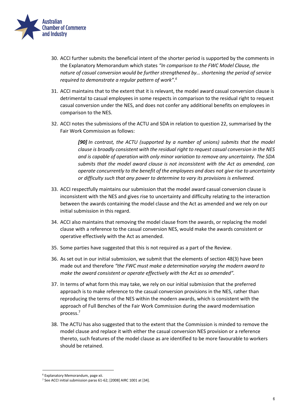

- 30. ACCI further submits the beneficial intent of the shorter period is supported by the comments in the Explanatory Memorandum which states *"In comparison to the FWC Model Clause, the nature of casual conversion would be further strengthened by… shortening the period of service required to demonstrate a regular pattern of work".<sup>6</sup>*
- 31. ACCI maintains that to the extent that it is relevant, the model award casual conversion clause is detrimental to casual employees in some respects in comparison to the residual right to request casual conversion under the NES, and does not confer any additional benefits on employees in comparison to the NES.
- 32. ACCI notes the submissions of the ACTU and SDA in relation to question 22, summarised by the Fair Work Commission as follows:

*[90] In contrast, the ACTU (supported by a number of unions) submits that the model clause is broadly consistent with the residual right to request casual conversion in the NES and is capable of operation with only minor variation to remove any uncertainty. The SDA submits that the model award clause is not inconsistent with the Act as amended, can operate concurrently to the benefit of the employees and does not give rise to uncertainty or difficulty such that any power to determine to vary its provisions is enlivened.* 

- 33. ACCI respectfully maintains our submission that the model award casual conversion clause is inconsistent with the NES and gives rise to uncertainty and difficulty relating to the interaction between the awards containing the model clause and the Act as amended and we rely on our initial submission in this regard.
- 34. ACCI also maintains that removing the model clause from the awards, or replacing the model clause with a reference to the casual conversion NES, would make the awards consistent or operative effectively with the Act as amended.
- 35. Some parties have suggested that this is not required as a part of the Review.
- 36. As set out in our initial submission, we submit that the elements of section 48(3) have been made out and therefore *"the FWC must make a determination varying the modern award to make the award consistent or operate effectively with the Act as so amended".*
- 37. In terms of what form this may take, we rely on our initial submission that the preferred approach is to make reference to the casual conversion provisions in the NES, rather than reproducing the terms of the NES within the modern awards, which is consistent with the approach of Full Benches of the Fair Work Commission during the award modernisation process.<sup>7</sup>
- 38. The ACTU has also suggested that to the extent that the Commission is minded to remove the model clause and replace it with either the casual conversion NES provision or a reference thereto, such features of the model clause as are identified to be more favourable to workers should be retained.

1

<sup>6</sup> Explanatory Memorandum, page xii.

<sup>7</sup> See ACCI initial submission paras 61-62; [2008] AIRC 1001 at [34].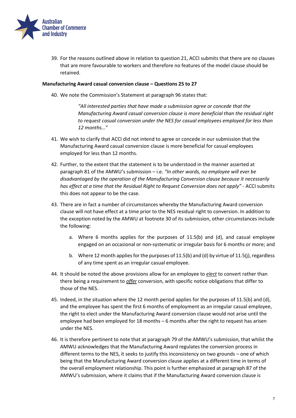

39. For the reasons outlined above in relation to question 21, ACCI submits that there are no clauses that are more favourable to workers and therefore no features of the model clause should be retained.

#### **Manufacturing Award casual conversion clause – Questions 25 to 27**

40. We note the Commission's Statement at paragraph 96 states that:

*"All interested parties that have made a submission agree or concede that the Manufacturing Award casual conversion clause is more beneficial than the residual right to request casual conversion under the NES for casual employees employed for less than 12 months…"*

- 41. We wish to clarify that ACCI did not intend to agree or concede in our submission that the Manufacturing Award casual conversion clause is more beneficial for casual employees employed for less than 12 months.
- 42. Further, to the extent that the statement is to be understood in the manner asserted at paragraph 81 of the AMWU's submission – i.e. *"In other words, no employee will ever be disadvantaged by the operation of the Manufacturing Conversion clause because it necessarily has effect at a time that the Residual Right to Request Conversion does not apply"* - ACCI submits this does not appear to be the case.
- 43. There are in fact a number of circumstances whereby the Manufacturing Award conversion clause will not have effect at a time prior to the NES residual right to conversion. In addition to the exception noted by the AMWU at footnote 30 of its submission, other circumstances include the following:
	- a. Where 6 months applies for the purposes of 11.5(b) and (d), and casual employee engaged on an occasional or non-systematic or irregular basis for 6 months or more; and
	- b. Where 12 month applies for the purposes of 11.5(b) and (d) by virtue of 11.5(j), regardless of any time spent as an irregular casual employee.
- 44. It should be noted the above provisions allow for an employee to *elect* to convert rather than there being a requirement to *offer* conversion, with specific notice obligations that differ to those of the NES.
- 45. Indeed, in the situation where the 12 month period applies for the purposes of 11.5(b) and (d), and the employee has spent the first 6 months of employment as an irregular casual employee, the right to elect under the Manufacturing Award conversion clause would not arise until the employee had been employed for 18 months – 6 months after the right to request has arisen under the NES.
- 46. It is therefore pertinent to note that at paragraph 79 of the AMWU's submission, that whilst the AMWU acknowledges that the Manufacturing Award regulates the conversion process in different terms to the NES, it seeks to justify this inconsistency on two grounds – one of which being that the Manufacturing Award conversion clause applies at a different time in terms of the overall employment relationship. This point is further emphasized at paragraph 87 of the AMWU's submission, where it claims that if the Manufacturing Award conversion clause is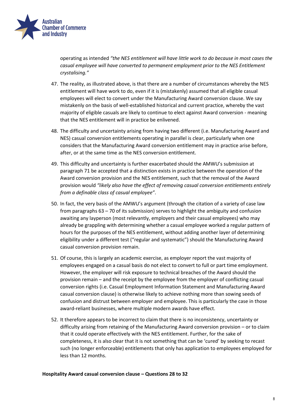

operating as intended *"the NES entitlement will have little work to do because in most cases the casual employee will have converted to permanent employment prior to the NES Entitlement crystalising."* 

- 47. The reality, as illustrated above, is that there are a number of circumstances whereby the NES entitlement will have work to do, even if it is (mistakenly) assumed that all eligible casual employees will elect to convert under the Manufacturing Award conversion clause. We say mistakenly on the basis of well-established historical and current practice, whereby the vast majority of eligible casuals are likely to continue to elect against Award conversion - meaning that the NES entitlement will in practice be enlivened.
- 48. The difficulty and uncertainty arising from having two different (i.e. Manufacturing Award and NES) casual conversion entitlements operating in parallel is clear, particularly when one considers that the Manufacturing Award conversion entitlement may in practice arise before, after, or at the same time as the NES conversion entitlement.
- 49. This difficulty and uncertainty is further exacerbated should the AMWU's submission at paragraph 71 be accepted that a distinction exists in practice between the operation of the Award conversion provision and the NES entitlement, such that the removal of the Award provision would *"likely also have the effect of removing casual conversion entitlements entirely from a definable class of casual employee"*.
- 50. In fact, the very basis of the AMWU's argument (through the citation of a variety of case law from paragraphs 63 – 70 of its submission) serves to highlight the ambiguity and confusion awaiting any layperson (most relevantly, employers and their casual employees) who may already be grappling with determining whether a casual employee worked a regular pattern of hours for the purposes of the NES entitlement, without adding another layer of determining eligibility under a different test ("regular and systematic") should the Manufacturing Award casual conversion provision remain.
- 51. Of course, this is largely an academic exercise, as employer report the vast majority of employees engaged on a casual basis do not elect to convert to full or part time employment. However, the employer will risk exposure to technical breaches of the Award should the provision remain – and the receipt by the employee from the employer of conflicting casual conversion rights (i.e. Casual Employment Information Statement and Manufacturing Award casual conversion clause) is otherwise likely to achieve nothing more than sowing seeds of confusion and distrust between employer and employee. This is particularly the case in those award-reliant businesses, where multiple modern awards have effect.
- 52. It therefore appears to be incorrect to claim that there is no inconsistency, uncertainty or difficulty arising from retaining of the Manufacturing Award conversion provision – or to claim that it could operate effectively with the NES entitlement. Further, for the sake of completeness, it is also clear that it is not something that can be 'cured' by seeking to recast such (no longer enforceable) entitlements that only has application to employees employed for less than 12 months.

#### **Hospitality Award casual conversion clause – Questions 28 to 32**